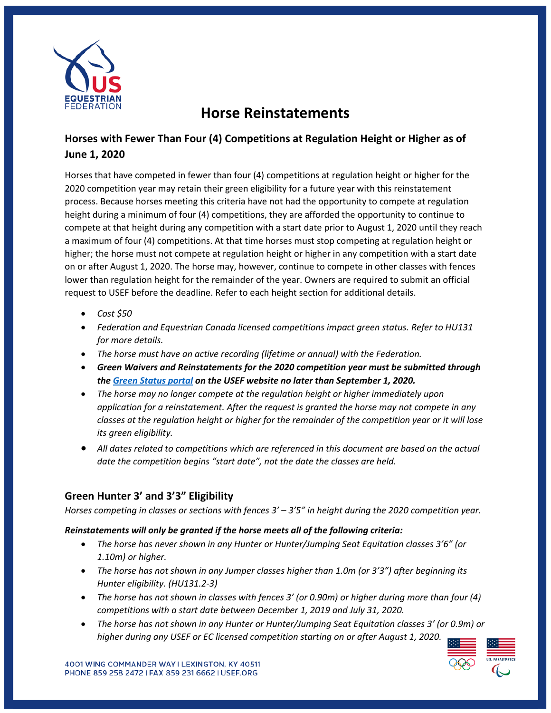

# **Horse Reinstatements**

## **Horses with Fewer Than Four (4) Competitions at Regulation Height or Higher as of June 1, 2020**

Horses that have competed in fewer than four (4) competitions at regulation height or higher for the 2020 competition year may retain their green eligibility for a future year with this reinstatement process. Because horses meeting this criteria have not had the opportunity to compete at regulation height during a minimum of four (4) competitions, they are afforded the opportunity to continue to compete at that height during any competition with a start date prior to August 1, 2020 until they reach a maximum of four (4) competitions. At that time horses must stop competing at regulation height or higher; the horse must not compete at regulation height or higher in any competition with a start date on or after August 1, 2020. The horse may, however, continue to compete in other classes with fences lower than regulation height for the remainder of the year. Owners are required to submit an official request to USEF before the deadline. Refer to each height section for additional details.

- *Cost \$50*
- *Federation and Equestrian Canada licensed competitions impact green status. Refer to HU131 for more details.*
- *The horse must have an active recording (lifetime or annual) with the Federation.*
- *Green Waivers and Reinstatements for the 2020 competition year must be submitted through th[e Green](https://members.usef.org/green-status) Status portal on the USEF website no later than September 1, 2020.*
- *The horse may no longer compete at the regulation height or higher immediately upon application for a reinstatement. After the request is granted the horse may not compete in any classes at the regulation height or higher for the remainder of the competition year or it will lose its green eligibility.*
- *All dates related to competitions which are referenced in this document are based on the actual date the competition begins "start date", not the date the classes are held.*

## **Green Hunter 3' and 3'3" Eligibility**

*Horses competing in classes or sections with fences 3' – 3'5" in height during the 2020 competition year.*

### *Reinstatements will only be granted if the horse meets all of the following criteria:*

- *The horse has never shown in any Hunter or Hunter/Jumping Seat Equitation classes 3'6" (or 1.10m) or higher.*
- *The horse has not shown in any Jumper classes higher than 1.0m (or 3'3") after beginning its Hunter eligibility. (HU131.2-3)*
- *The horse has not shown in classes with fences 3' (or 0.90m) or higher during more than four (4) competitions with a start date between December 1, 2019 and July 31, 2020.*
- *The horse has not shown in any Hunter or Hunter/Jumping Seat Equitation classes 3' (or 0.9m) or higher during any USEF or EC licensed competition starting on or after August 1, 2020.*

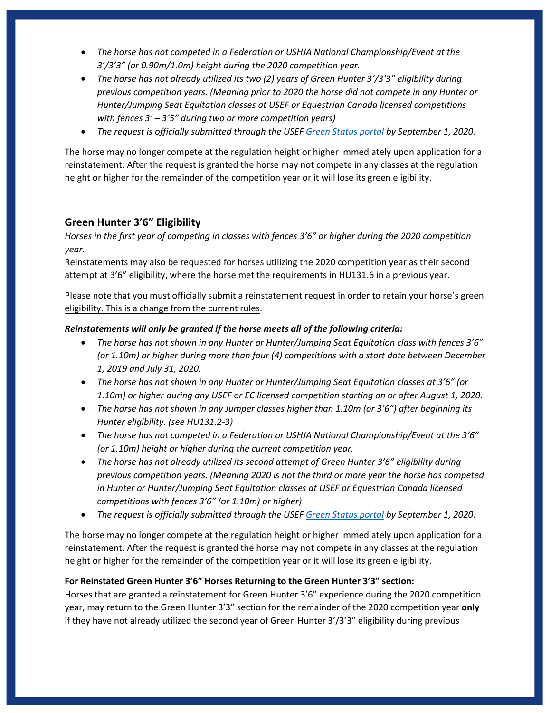- *The horse has not competed in a Federation or USHJA National Championship/Event at the 3'/3'3" (or 0.90m/1.0m) height during the 2020 competition year.*
- *The horse has not already utilized its two (2) years of Green Hunter 3'/3'3" eligibility during previous competition years. (Meaning prior to 2020 the horse did not compete in any Hunter or Hunter/Jumping Seat Equitation classes at USEF or Equestrian Canada licensed competitions with fences 3' – 3'5" during two or more competition years)*
- *The request is officially submitted through the USEF [Green](https://members.usef.org/green-status) Status portal by September 1, 2020.*

The horse may no longer compete at the regulation height or higher immediately upon application for a reinstatement. After the request is granted the horse may not compete in any classes at the regulation height or higher for the remainder of the competition year or it will lose its green eligibility.

## **Green Hunter 3'6" Eligibility**

*Horses in the first year of competing in classes with fences 3'6" or higher during the 2020 competition year.* 

Reinstatements may also be requested for horses utilizing the 2020 competition year as their second attempt at 3'6" eligibility, where the horse met the requirements in HU131.6 in a previous year.

Please note that you must officially submit a reinstatement request in order to retain your horse's green eligibility. This is a change from the current rules.

### *Reinstatements will only be granted if the horse meets all of the following criteria:*

- *The horse has not shown in any Hunter or Hunter/Jumping Seat Equitation class with fences 3'6" (or 1.10m) or higher during more than four (4) competitions with a start date between December 1, 2019 and July 31, 2020.*
- *The horse has not shown in any Hunter or Hunter/Jumping Seat Equitation classes at 3'6" (or 1.10m) or higher during any USEF or EC licensed competition starting on or after August 1, 2020.*
- *The horse has not shown in any Jumper classes higher than 1.10m (or 3'6") after beginning its Hunter eligibility. (see HU131.2-3)*
- *The horse has not competed in a Federation or USHJA National Championship/Event at the 3'6" (or 1.10m) height or higher during the current competition year.*
- *The horse has not already utilized its second attempt of Green Hunter 3'6" eligibility during previous competition years. (Meaning 2020 is not the third or more year the horse has competed in Hunter or Hunter/Jumping Seat Equitation classes at USEF or Equestrian Canada licensed competitions with fences 3'6" (or 1.10m) or higher)*
- *The request is officially submitted through the USEF [Green](https://members.usef.org/green-status) Status portal by September 1, 2020.*

The horse may no longer compete at the regulation height or higher immediately upon application for a reinstatement. After the request is granted the horse may not compete in any classes at the regulation height or higher for the remainder of the competition year or it will lose its green eligibility.

### **For Reinstated Green Hunter 3'6" Horses Returning to the Green Hunter 3'3" section:**

Horses that are granted a reinstatement for Green Hunter 3'6" experience during the 2020 competition year, may return to the Green Hunter 3'3" section for the remainder of the 2020 competition year **only** if they have not already utilized the second year of Green Hunter 3'/3'3" eligibility during previous